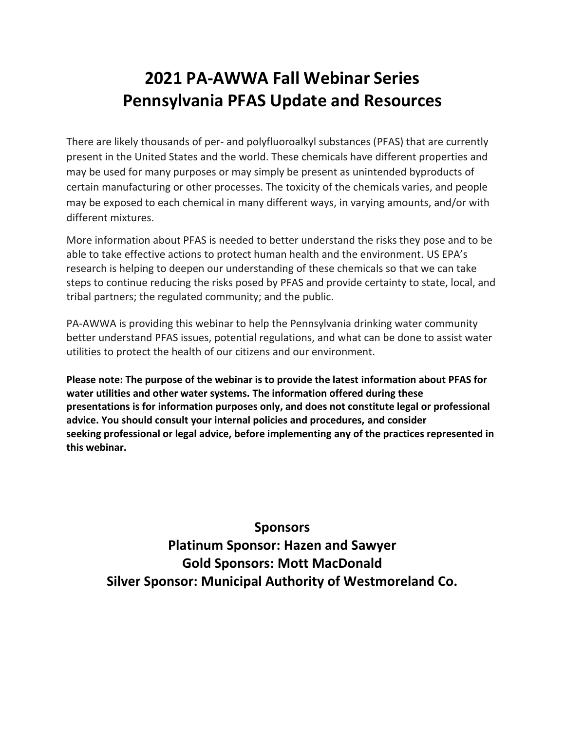### **2021 PA-AWWA Fall Webinar Series Pennsylvania PFAS Update and Resources**

There are likely thousands of per- and polyfluoroalkyl substances (PFAS) that are currently present in the United States and the world. These chemicals have different properties and may be used for many purposes or may simply be present as unintended byproducts of certain manufacturing or other processes. The toxicity of the chemicals varies, and people may be exposed to each chemical in many different ways, in varying amounts, and/or with different mixtures.

More information about PFAS is needed to better understand the risks they pose and to be able to take effective actions to protect human health and the environment. US EPA's research is helping to deepen our understanding of these chemicals so that we can take steps to continue reducing the risks posed by PFAS and provide certainty to state, local, and tribal partners; the regulated community; and the public.

PA-AWWA is providing this webinar to help the Pennsylvania drinking water community better understand PFAS issues, potential regulations, and what can be done to assist water utilities to protect the health of our citizens and our environment.

**Please note: The purpose of the webinar is to provide the latest information about PFAS for water utilities and other water systems. The information offered during these presentations is for information purposes only, and does not constitute legal or professional advice. You should consult your internal policies and procedures, and consider seeking professional or legal advice, before implementing any of the practices represented in this webinar.**

### **Sponsors Platinum Sponsor: Hazen and Sawyer Gold Sponsors: Mott MacDonald Silver Sponsor: Municipal Authority of Westmoreland Co.**